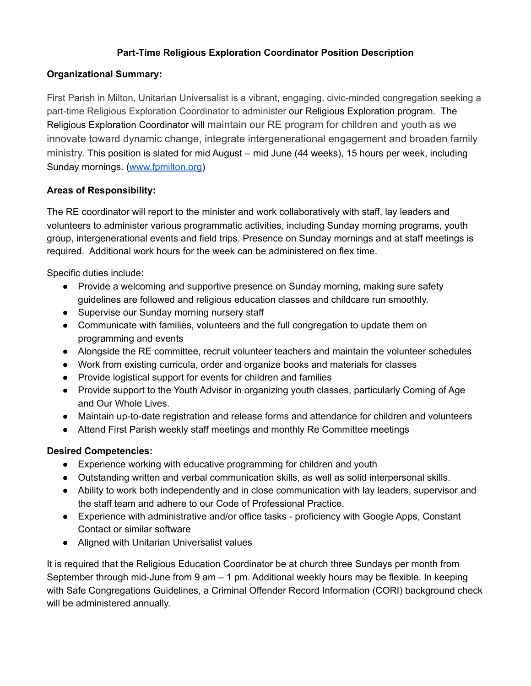## **Part-Time Religious Exploration Coordinator Position Description**

## **Organizational Summary:**

First Parish in Milton, Unitarian Universalist is a vibrant, engaging, civic-minded congregation seeking a part-time Religious Exploration Coordinator to administer our Religious Exploration program. The Religious Exploration Coordinator will maintain our RE program for children and youth as we innovate toward dynamic change, integrate intergenerational engagement and broaden family ministry. This position is slated for mid August – mid June (44 weeks), 15 hours per week, including Sunday mornings. [\(www.fpmilton.org](http://www.fpmilton.org/))

## **Areas of Responsibility:**

The RE coordinator will report to the minister and work collaboratively with staff, lay leaders and volunteers to administer various programmatic activities, including Sunday morning programs, youth group, intergenerational events and field trips. Presence on Sunday mornings and at staff meetings is required. Additional work hours for the week can be administered on flex time.

Specific duties include:

- Provide a welcoming and supportive presence on Sunday morning, making sure safety guidelines are followed and religious education classes and childcare run smoothly.
- Supervise our Sunday morning nursery staff
- Communicate with families, volunteers and the full congregation to update them on programming and events
- Alongside the RE committee, recruit volunteer teachers and maintain the volunteer schedules
- Work from existing curricula, order and organize books and materials for classes
- Provide logistical support for events for children and families
- Provide support to the Youth Advisor in organizing youth classes, particularly Coming of Age and Our Whole Lives.
- Maintain up-to-date registration and release forms and attendance for children and volunteers
- Attend First Parish weekly staff meetings and monthly Re Committee meetings

## **Desired Competencies:**

- Experience working with educative programming for children and youth
- Outstanding written and verbal communication skills, as well as solid interpersonal skills.
- Ability to work both independently and in close communication with lay leaders, supervisor and the staff team and adhere to our Code of Professional Practice.
- Experience with administrative and/or office tasks proficiency with Google Apps, Constant Contact or similar software
- Aligned with Unitarian Universalist values

It is required that the Religious Education Coordinator be at church three Sundays per month from September through mid-June from 9 am – 1 pm. Additional weekly hours may be flexible. In keeping with Safe Congregations Guidelines, a Criminal Offender Record Information (CORI) background check will be administered annually.